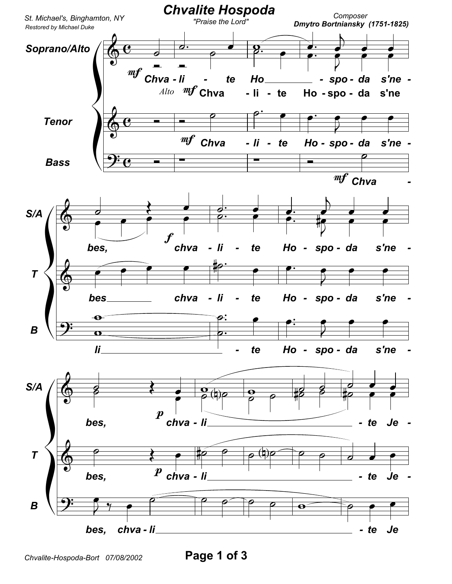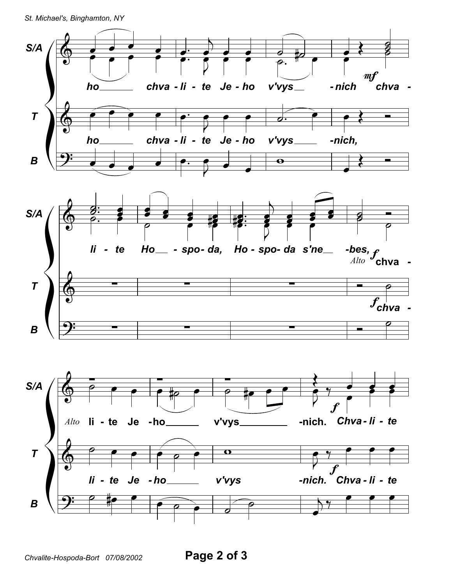St. Michael's, Binghamton, NY